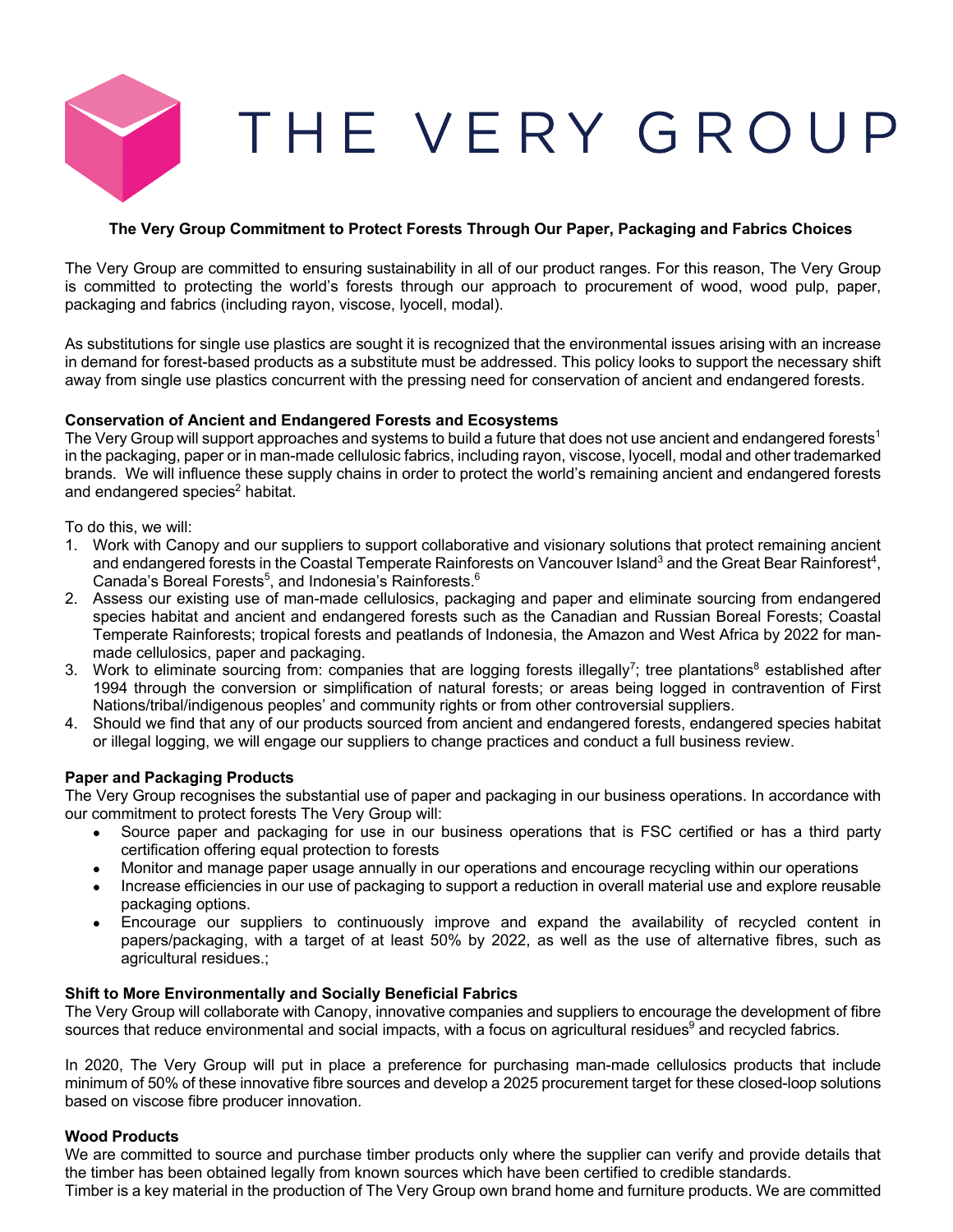

# **The Very Group Commitment to Protect Forests Through Our Paper, Packaging and Fabrics Choices**

The Very Group are committed to ensuring sustainability in all of our product ranges. For this reason, The Very Group is committed to protecting the world's forests through our approach to procurement of wood, wood pulp, paper, packaging and fabrics (including rayon, viscose, lyocell, modal).

As substitutions for single use plastics are sought it is recognized that the environmental issues arising with an increase in demand for forest-based products as a substitute must be addressed. This policy looks to support the necessary shift away from single use plastics concurrent with the pressing need for conservation of ancient and endangered forests.

## **Conservation of Ancient and Endangered Forests and Ecosystems**

The Very Group will support approaches and systems to build a future that does not use ancient and endangered forests<sup>1</sup> in the packaging, paper or in man-made cellulosic fabrics, including rayon, viscose, lyocell, modal and other trademarked brands. We will influence these supply chains in order to protect the world's remaining ancient and endangered forests and endangered species<sup>2</sup> habitat.

To do this, we will:

- 1. Work with Canopy and our suppliers to support collaborative and visionary solutions that protect remaining ancient and endangered forests in the Coastal Temperate Rainforests on Vancouver Island<sup>3</sup> and the Great Bear Rainforest<sup>4</sup>, Canada's Boreal Forests<sup>5</sup>, and Indonesia's Rainforests.<sup>6</sup>
- 2. Assess our existing use of man-made cellulosics, packaging and paper and eliminate sourcing from endangered species habitat and ancient and endangered forests such as the Canadian and Russian Boreal Forests; Coastal Temperate Rainforests; tropical forests and peatlands of Indonesia, the Amazon and West Africa by 2022 for manmade cellulosics, paper and packaging.
- 3. Work to eliminate sourcing from: companies that are logging forests illegally<sup>7</sup>; tree plantations<sup>8</sup> established after 1994 through the conversion or simplification of natural forests; or areas being logged in contravention of First Nations/tribal/indigenous peoples' and community rights or from other controversial suppliers.
- 4. Should we find that any of our products sourced from ancient and endangered forests, endangered species habitat or illegal logging, we will engage our suppliers to change practices and conduct a full business review.

### **Paper and Packaging Products**

The Very Group recognises the substantial use of paper and packaging in our business operations. In accordance with our commitment to protect forests The Very Group will:

- Source paper and packaging for use in our business operations that is FSC certified or has a third party certification offering equal protection to forests
- Monitor and manage paper usage annually in our operations and encourage recycling within our operations
- Increase efficiencies in our use of packaging to support a reduction in overall material use and explore reusable packaging options.
- Encourage our suppliers to continuously improve and expand the availability of recycled content in papers/packaging, with a target of at least 50% by 2022, as well as the use of alternative fibres, such as agricultural residues.;

### **Shift to More Environmentally and Socially Beneficial Fabrics**

The Very Group will collaborate with Canopy, innovative companies and suppliers to encourage the development of fibre sources that reduce environmental and social impacts, with a focus on agricultural residues<sup>9</sup> and recycled fabrics.

In 2020, The Very Group will put in place a preference for purchasing man-made cellulosics products that include minimum of 50% of these innovative fibre sources and develop a 2025 procurement target for these closed-loop solutions based on viscose fibre producer innovation.

### **Wood Products**

We are committed to source and purchase timber products only where the supplier can verify and provide details that the timber has been obtained legally from known sources which have been certified to credible standards. Timber is a key material in the production of The Very Group own brand home and furniture products. We are committed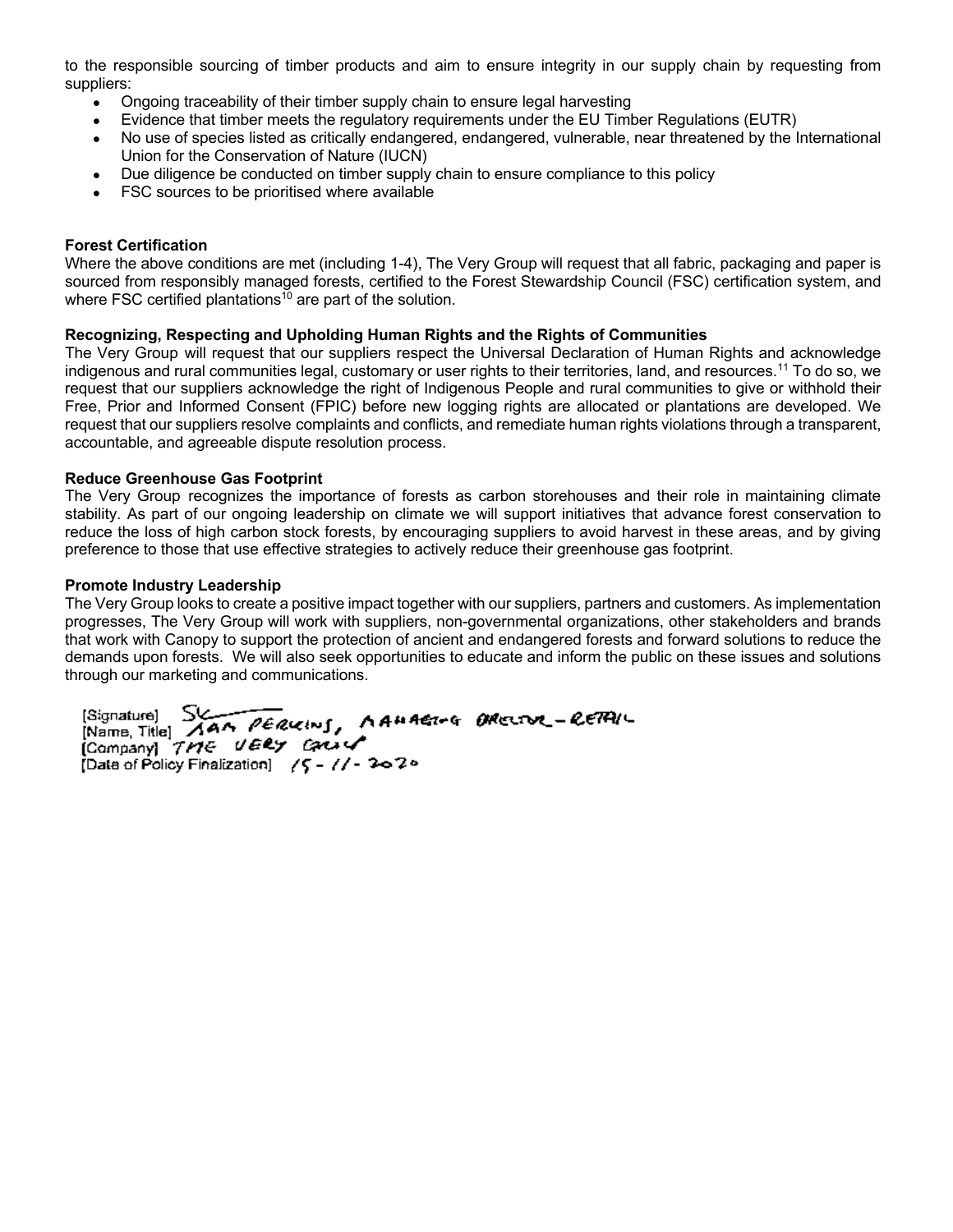to the responsible sourcing of timber products and aim to ensure integrity in our supply chain by requesting from suppliers:

- Ongoing traceability of their timber supply chain to ensure legal harvesting
- Evidence that timber meets the regulatory requirements under the EU Timber Regulations (EUTR)
- No use of species listed as critically endangered, endangered, vulnerable, near threatened by the International Union for the Conservation of Nature (IUCN)
- Due diligence be conducted on timber supply chain to ensure compliance to this policy
- FSC sources to be prioritised where available

## **Forest Certification**

Where the above conditions are met (including 1-4), The Very Group will request that all fabric, packaging and paper is sourced from responsibly managed forests, certified to the Forest Stewardship Council (FSC) certification system, and where FSC certified plantations<sup>10</sup> are part of the solution.

## **Recognizing, Respecting and Upholding Human Rights and the Rights of Communities**

The Very Group will request that our suppliers respect the Universal Declaration of Human Rights and acknowledge indigenous and rural communities legal, customary or user rights to their territories, land, and resources.11 To do so, we request that our suppliers acknowledge the right of Indigenous People and rural communities to give or withhold their Free, Prior and Informed Consent (FPIC) before new logging rights are allocated or plantations are developed. We request that our suppliers resolve complaints and conflicts, and remediate human rights violations through a transparent, accountable, and agreeable dispute resolution process.

## **Reduce Greenhouse Gas Footprint**

The Very Group recognizes the importance of forests as carbon storehouses and their role in maintaining climate stability. As part of our ongoing leadership on climate we will support initiatives that advance forest conservation to reduce the loss of high carbon stock forests, by encouraging suppliers to avoid harvest in these areas, and by giving preference to those that use effective strategies to actively reduce their greenhouse gas footprint.

### **Promote Industry Leadership**

The Very Group looks to create a positive impact together with our suppliers, partners and customers. As implementation progresses, The Very Group will work with suppliers, non-governmental organizations, other stakeholders and brands that work with Canopy to support the protection of ancient and endangered forests and forward solutions to reduce the demands upon forests. We will also seek opportunities to educate and inform the public on these issues and solutions through our marketing and communications.

[Signature] SUN PERUCING, AAMAGING BRECOOR-RETAIL<br>[Name, Title] AAA PERUCING, AAMAGING BRECOOR-RETAIL<br>[Company] TME UERY CALLY Date of Policy Finalization] / 5 - // - 2020